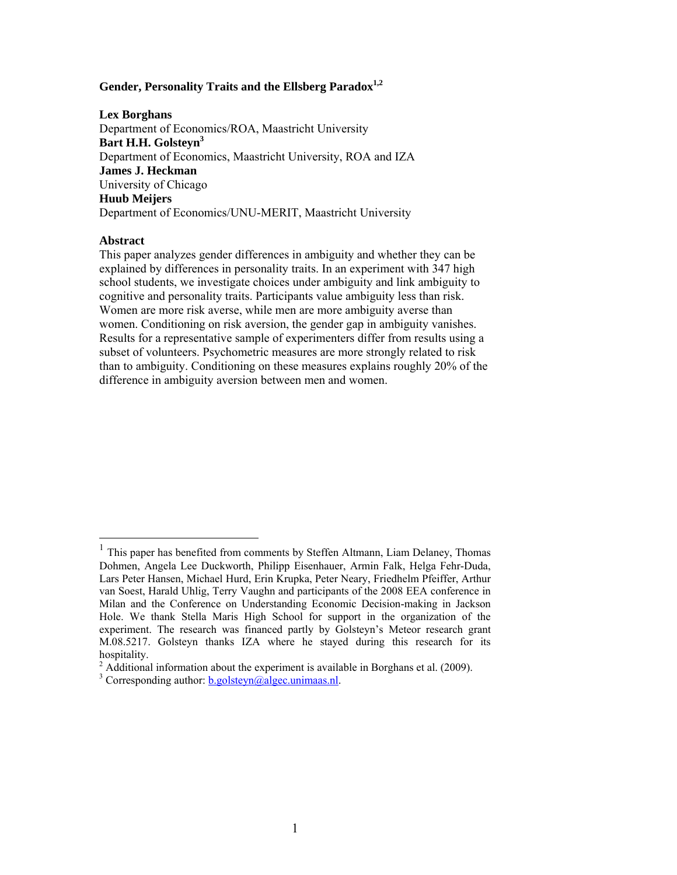# Gender, Personality Traits and the Ellsberg Paradox<sup>1,2</sup>

#### **Lex Borghans**

Department of Economics/ROA, Maastricht University Bart H.H. Golsteyn<sup>3</sup> Department of Economics, Maastricht University, ROA and IZA **James J. Heckman**  University of Chicago **Huub Meijers**  Department of Economics/UNU-MERIT, Maastricht University

## **Abstract**

 $\overline{a}$ 

This paper analyzes gender differences in ambiguity and whether they can be explained by differences in personality traits. In an experiment with 347 high school students, we investigate choices under ambiguity and link ambiguity to cognitive and personality traits. Participants value ambiguity less than risk. Women are more risk averse, while men are more ambiguity averse than women. Conditioning on risk aversion, the gender gap in ambiguity vanishes. Results for a representative sample of experimenters differ from results using a subset of volunteers. Psychometric measures are more strongly related to risk than to ambiguity. Conditioning on these measures explains roughly 20% of the difference in ambiguity aversion between men and women.

<sup>&</sup>lt;sup>1</sup> This paper has benefited from comments by Steffen Altmann, Liam Delaney, Thomas Dohmen, Angela Lee Duckworth, Philipp Eisenhauer, Armin Falk, Helga Fehr-Duda, Lars Peter Hansen, Michael Hurd, Erin Krupka, Peter Neary, Friedhelm Pfeiffer, Arthur van Soest, Harald Uhlig, Terry Vaughn and participants of the 2008 EEA conference in Milan and the Conference on Understanding Economic Decision-making in Jackson Hole. We thank Stella Maris High School for support in the organization of the experiment. The research was financed partly by Golsteyn's Meteor research grant M.08.5217. Golsteyn thanks IZA where he stayed during this research for its hospitality.

 $2$  Additional information about the experiment is available in Borghans et al. (2009).

<sup>&</sup>lt;sup>3</sup> Corresponding author:  $\underline{b.golsteyn@algec.unimaas.nl}$ .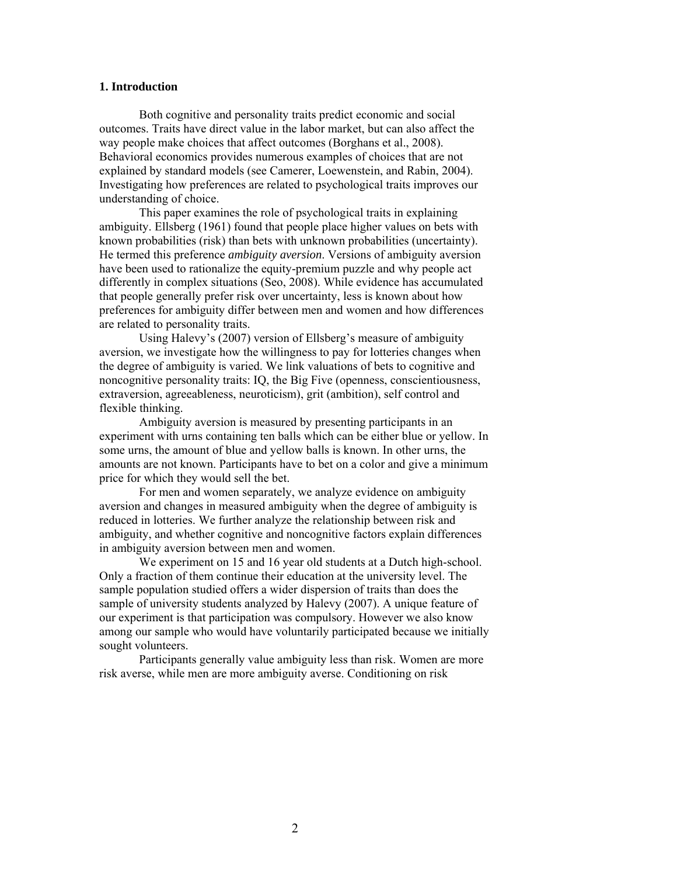### **1. Introduction**

Both cognitive and personality traits predict economic and social outcomes. Traits have direct value in the labor market, but can also affect the way people make choices that affect outcomes (Borghans et al., 2008). Behavioral economics provides numerous examples of choices that are not explained by standard models (see Camerer, Loewenstein, and Rabin, 2004). Investigating how preferences are related to psychological traits improves our understanding of choice.

This paper examines the role of psychological traits in explaining ambiguity. Ellsberg (1961) found that people place higher values on bets with known probabilities (risk) than bets with unknown probabilities (uncertainty). He termed this preference *ambiguity aversion*. Versions of ambiguity aversion have been used to rationalize the equity-premium puzzle and why people act differently in complex situations (Seo, 2008). While evidence has accumulated that people generally prefer risk over uncertainty, less is known about how preferences for ambiguity differ between men and women and how differences are related to personality traits.

Using Halevy's (2007) version of Ellsberg's measure of ambiguity aversion, we investigate how the willingness to pay for lotteries changes when the degree of ambiguity is varied. We link valuations of bets to cognitive and noncognitive personality traits: IQ, the Big Five (openness, conscientiousness, extraversion, agreeableness, neuroticism), grit (ambition), self control and flexible thinking.

 Ambiguity aversion is measured by presenting participants in an experiment with urns containing ten balls which can be either blue or yellow. In some urns, the amount of blue and yellow balls is known. In other urns, the amounts are not known. Participants have to bet on a color and give a minimum price for which they would sell the bet.

For men and women separately, we analyze evidence on ambiguity aversion and changes in measured ambiguity when the degree of ambiguity is reduced in lotteries. We further analyze the relationship between risk and ambiguity, and whether cognitive and noncognitive factors explain differences in ambiguity aversion between men and women.

We experiment on 15 and 16 year old students at a Dutch high-school. Only a fraction of them continue their education at the university level. The sample population studied offers a wider dispersion of traits than does the sample of university students analyzed by Halevy (2007). A unique feature of our experiment is that participation was compulsory. However we also know among our sample who would have voluntarily participated because we initially sought volunteers.

Participants generally value ambiguity less than risk. Women are more risk averse, while men are more ambiguity averse. Conditioning on risk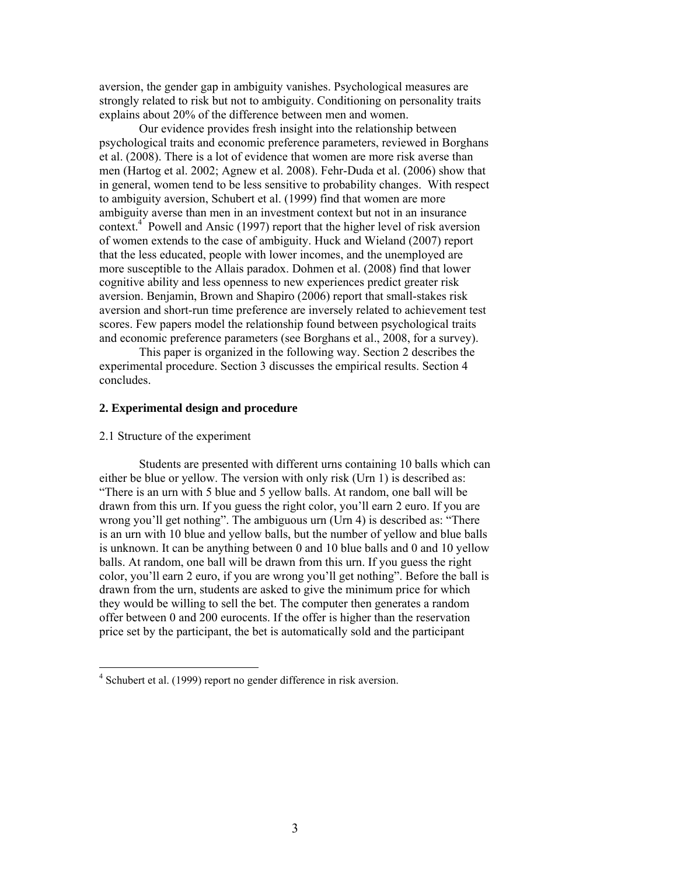aversion, the gender gap in ambiguity vanishes. Psychological measures are strongly related to risk but not to ambiguity. Conditioning on personality traits explains about 20% of the difference between men and women.

 Our evidence provides fresh insight into the relationship between psychological traits and economic preference parameters, reviewed in Borghans et al. (2008). There is a lot of evidence that women are more risk averse than men (Hartog et al. 2002; Agnew et al. 2008). Fehr-Duda et al. (2006) show that in general, women tend to be less sensitive to probability changes. With respect to ambiguity aversion, Schubert et al. (1999) find that women are more ambiguity averse than men in an investment context but not in an insurance context.<sup>4</sup> Powell and Ansic (1997) report that the higher level of risk aversion of women extends to the case of ambiguity. Huck and Wieland (2007) report that the less educated, people with lower incomes, and the unemployed are more susceptible to the Allais paradox. Dohmen et al. (2008) find that lower cognitive ability and less openness to new experiences predict greater risk aversion. Benjamin, Brown and Shapiro (2006) report that small-stakes risk aversion and short-run time preference are inversely related to achievement test scores. Few papers model the relationship found between psychological traits and economic preference parameters (see Borghans et al., 2008, for a survey).

This paper is organized in the following way. Section 2 describes the experimental procedure. Section 3 discusses the empirical results. Section 4 concludes.

### **2. Experimental design and procedure**

### 2.1 Structure of the experiment

 $\overline{a}$ 

Students are presented with different urns containing 10 balls which can either be blue or yellow. The version with only risk (Urn 1) is described as: "There is an urn with 5 blue and 5 yellow balls. At random, one ball will be drawn from this urn. If you guess the right color, you'll earn 2 euro. If you are wrong you'll get nothing". The ambiguous urn (Urn 4) is described as: "There is an urn with 10 blue and yellow balls, but the number of yellow and blue balls is unknown. It can be anything between 0 and 10 blue balls and 0 and 10 yellow balls. At random, one ball will be drawn from this urn. If you guess the right color, you'll earn 2 euro, if you are wrong you'll get nothing". Before the ball is drawn from the urn, students are asked to give the minimum price for which they would be willing to sell the bet. The computer then generates a random offer between 0 and 200 eurocents. If the offer is higher than the reservation price set by the participant, the bet is automatically sold and the participant

<sup>&</sup>lt;sup>4</sup> Schubert et al. (1999) report no gender difference in risk aversion.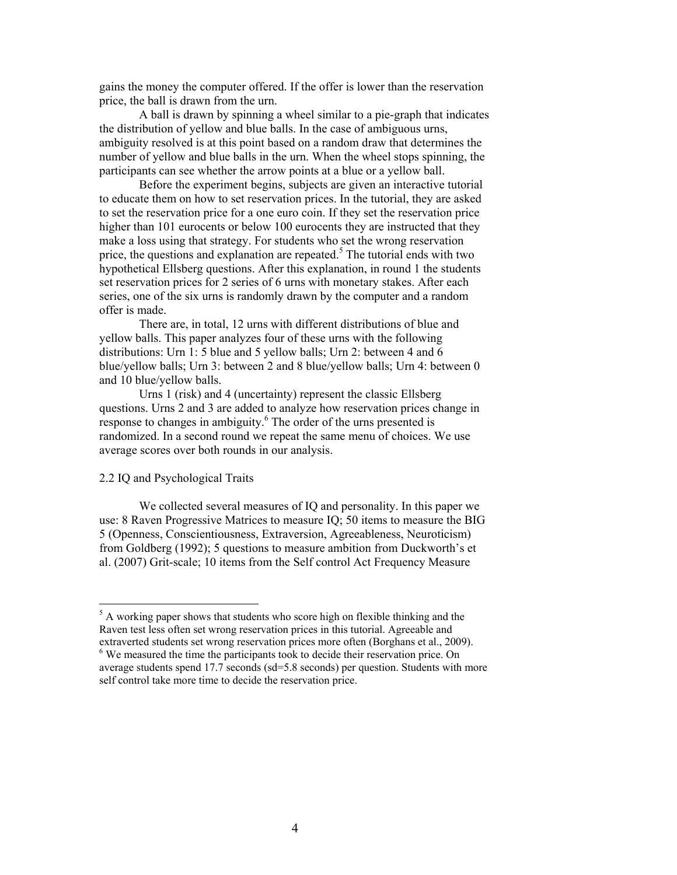gains the money the computer offered. If the offer is lower than the reservation price, the ball is drawn from the urn.

A ball is drawn by spinning a wheel similar to a pie-graph that indicates the distribution of yellow and blue balls. In the case of ambiguous urns, ambiguity resolved is at this point based on a random draw that determines the number of yellow and blue balls in the urn. When the wheel stops spinning, the participants can see whether the arrow points at a blue or a yellow ball.

Before the experiment begins, subjects are given an interactive tutorial to educate them on how to set reservation prices. In the tutorial, they are asked to set the reservation price for a one euro coin. If they set the reservation price higher than 101 eurocents or below 100 eurocents they are instructed that they make a loss using that strategy. For students who set the wrong reservation price, the questions and explanation are repeated.<sup>5</sup> The tutorial ends with two hypothetical Ellsberg questions. After this explanation, in round 1 the students set reservation prices for 2 series of 6 urns with monetary stakes. After each series, one of the six urns is randomly drawn by the computer and a random offer is made.

There are, in total, 12 urns with different distributions of blue and yellow balls. This paper analyzes four of these urns with the following distributions: Urn 1: 5 blue and 5 yellow balls; Urn 2: between 4 and 6 blue/yellow balls; Urn 3: between 2 and 8 blue/yellow balls; Urn 4: between 0 and 10 blue/yellow balls.

 Urns 1 (risk) and 4 (uncertainty) represent the classic Ellsberg questions. Urns 2 and 3 are added to analyze how reservation prices change in response to changes in ambiguity.<sup>6</sup> The order of the urns presented is randomized. In a second round we repeat the same menu of choices. We use average scores over both rounds in our analysis.

### 2.2 IQ and Psychological Traits

 $\overline{a}$ 

 We collected several measures of IQ and personality. In this paper we use: 8 Raven Progressive Matrices to measure IQ; 50 items to measure the BIG 5 (Openness, Conscientiousness, Extraversion, Agreeableness, Neuroticism) from Goldberg (1992); 5 questions to measure ambition from Duckworth's et al. (2007) Grit-scale; 10 items from the Self control Act Frequency Measure

<sup>&</sup>lt;sup>5</sup> A working paper shows that students who score high on flexible thinking and the Raven test less often set wrong reservation prices in this tutorial. Agreeable and extraverted students set wrong reservation prices more often (Borghans et al., 2009). <sup>6</sup> We measured the time the participants took to decide their reservation price. On average students spend 17.7 seconds (sd=5.8 seconds) per question. Students with more self control take more time to decide the reservation price.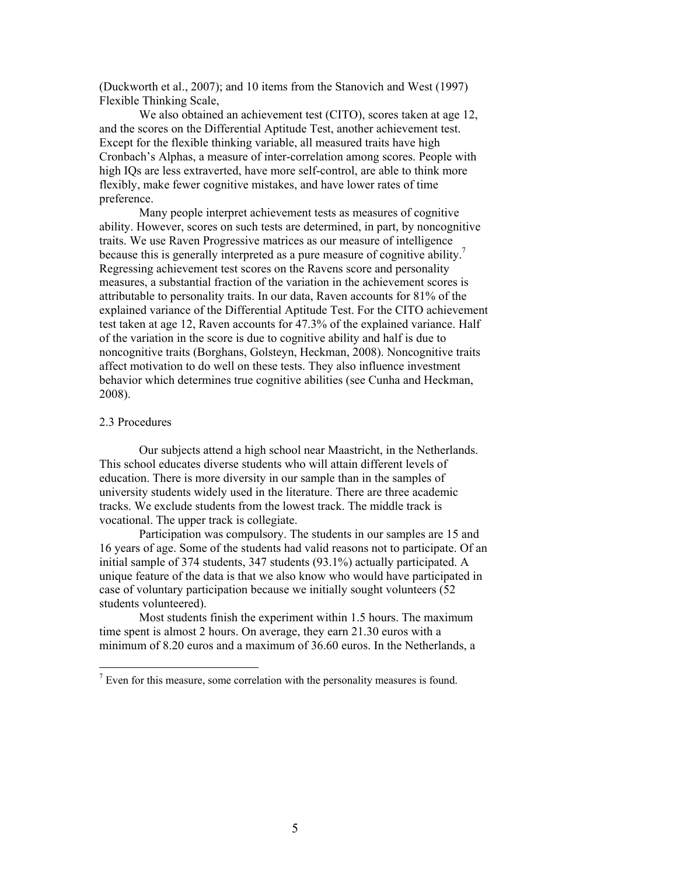(Duckworth et al., 2007); and 10 items from the Stanovich and West (1997) Flexible Thinking Scale,

 We also obtained an achievement test (CITO), scores taken at age 12, and the scores on the Differential Aptitude Test, another achievement test. Except for the flexible thinking variable, all measured traits have high Cronbach's Alphas, a measure of inter-correlation among scores. People with high IQs are less extraverted, have more self-control, are able to think more flexibly, make fewer cognitive mistakes, and have lower rates of time preference.

Many people interpret achievement tests as measures of cognitive ability. However, scores on such tests are determined, in part, by noncognitive traits. We use Raven Progressive matrices as our measure of intelligence because this is generally interpreted as a pure measure of cognitive ability.<sup>7</sup> Regressing achievement test scores on the Ravens score and personality measures, a substantial fraction of the variation in the achievement scores is attributable to personality traits. In our data, Raven accounts for 81% of the explained variance of the Differential Aptitude Test. For the CITO achievement test taken at age 12, Raven accounts for 47.3% of the explained variance. Half of the variation in the score is due to cognitive ability and half is due to noncognitive traits (Borghans, Golsteyn, Heckman, 2008). Noncognitive traits affect motivation to do well on these tests. They also influence investment behavior which determines true cognitive abilities (see Cunha and Heckman, 2008).

### 2.3 Procedures

Our subjects attend a high school near Maastricht, in the Netherlands. This school educates diverse students who will attain different levels of education. There is more diversity in our sample than in the samples of university students widely used in the literature. There are three academic tracks. We exclude students from the lowest track. The middle track is vocational. The upper track is collegiate.

Participation was compulsory. The students in our samples are 15 and 16 years of age. Some of the students had valid reasons not to participate. Of an initial sample of 374 students, 347 students (93.1%) actually participated. A unique feature of the data is that we also know who would have participated in case of voluntary participation because we initially sought volunteers (52 students volunteered).

Most students finish the experiment within 1.5 hours. The maximum time spent is almost 2 hours. On average, they earn 21.30 euros with a minimum of 8.20 euros and a maximum of 36.60 euros. In the Netherlands, a

<sup>&</sup>lt;sup>7</sup> Even for this measure, some correlation with the personality measures is found.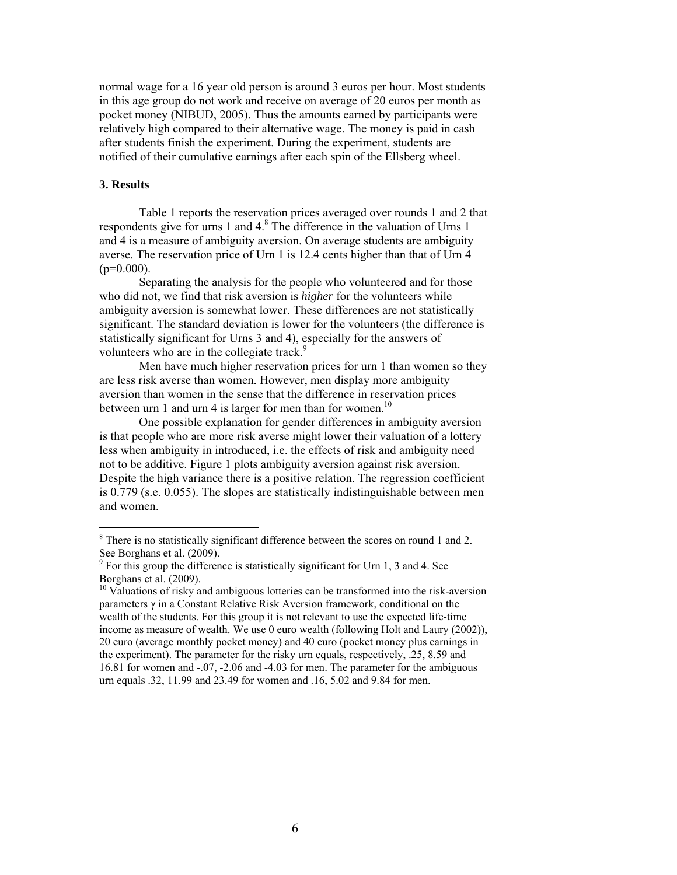normal wage for a 16 year old person is around 3 euros per hour. Most students in this age group do not work and receive on average of 20 euros per month as pocket money (NIBUD, 2005). Thus the amounts earned by participants were relatively high compared to their alternative wage. The money is paid in cash after students finish the experiment. During the experiment, students are notified of their cumulative earnings after each spin of the Ellsberg wheel.

### **3. Results**

 $\overline{a}$ 

Table 1 reports the reservation prices averaged over rounds 1 and 2 that respondents give for urns 1 and 4.<sup>8</sup> The difference in the valuation of Urns 1 and 4 is a measure of ambiguity aversion. On average students are ambiguity averse. The reservation price of Urn 1 is 12.4 cents higher than that of Urn 4  $(p=0.000)$ .

Separating the analysis for the people who volunteered and for those who did not, we find that risk aversion is *higher* for the volunteers while ambiguity aversion is somewhat lower. These differences are not statistically significant. The standard deviation is lower for the volunteers (the difference is statistically significant for Urns 3 and 4), especially for the answers of volunteers who are in the collegiate track.<sup>9</sup>

Men have much higher reservation prices for urn 1 than women so they are less risk averse than women. However, men display more ambiguity aversion than women in the sense that the difference in reservation prices between urn 1 and urn 4 is larger for men than for women.<sup>10</sup>

One possible explanation for gender differences in ambiguity aversion is that people who are more risk averse might lower their valuation of a lottery less when ambiguity in introduced, i.e. the effects of risk and ambiguity need not to be additive. Figure 1 plots ambiguity aversion against risk aversion. Despite the high variance there is a positive relation. The regression coefficient is 0.779 (s.e. 0.055). The slopes are statistically indistinguishable between men and women.

<sup>&</sup>lt;sup>8</sup> There is no statistically significant difference between the scores on round 1 and 2. See Borghans et al. (2009).

<sup>&</sup>lt;sup>9</sup> For this group the difference is statistically significant for Urn 1, 3 and 4. See Borghans et al. (2009).

 $10$  Valuations of risky and ambiguous lotteries can be transformed into the risk-aversion parameters γ in a Constant Relative Risk Aversion framework, conditional on the wealth of the students. For this group it is not relevant to use the expected life-time income as measure of wealth. We use 0 euro wealth (following Holt and Laury (2002)), 20 euro (average monthly pocket money) and 40 euro (pocket money plus earnings in the experiment). The parameter for the risky urn equals, respectively, .25, 8.59 and 16.81 for women and -.07, -2.06 and -4.03 for men. The parameter for the ambiguous urn equals .32, 11.99 and 23.49 for women and .16, 5.02 and 9.84 for men.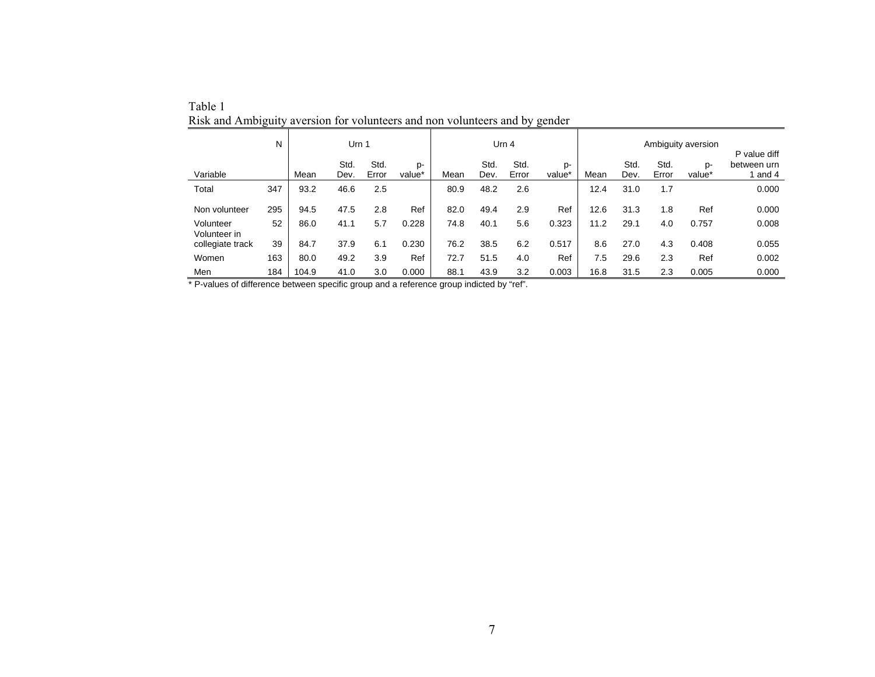|                                  | N   | Urn 1 |              |               | Urn <sub>4</sub> |      |              |               | Ambiguity aversion<br>P value diff |      |              |               |                          |                      |
|----------------------------------|-----|-------|--------------|---------------|------------------|------|--------------|---------------|------------------------------------|------|--------------|---------------|--------------------------|----------------------|
| Variable                         |     | Mean  | Std.<br>Dev. | Std.<br>Error | p-<br>value*     | Mean | Std.<br>Dev. | Std.<br>Error | p-<br>value*                       | Mean | Std.<br>Dev. | Std.<br>Error | D-<br>value <sup>*</sup> | between urn<br>and 4 |
| Total                            | 347 | 93.2  | 46.6         | 2.5           |                  | 80.9 | 48.2         | 2.6           |                                    | 12.4 | 31.0         | 1.7           |                          | 0.000                |
| Non volunteer                    | 295 | 94.5  | 47.5         | 2.8           | Ref              | 82.0 | 49.4         | 2.9           | Ref                                | 12.6 | 31.3         | 1.8           | Ref                      | 0.000                |
| Volunteer                        | 52  | 86.0  | 41.1         | 5.7           | 0.228            | 74.8 | 40.1         | 5.6           | 0.323                              | 11.2 | 29.1         | 4.0           | 0.757                    | 0.008                |
| Volunteer in<br>collegiate track | 39  | 84.7  | 37.9         | 6.1           | 0.230            | 76.2 | 38.5         | 6.2           | 0.517                              | 8.6  | 27.0         | 4.3           | 0.408                    | 0.055                |
| Women                            | 163 | 80.0  | 49.2         | 3.9           | Ref              | 72.7 | 51.5         | 4.0           | Ref                                | 7.5  | 29.6         | 2.3           | Ref                      | 0.002                |
| Men                              | 184 | 104.9 | 41.0         | 3.0           | 0.000            | 88.1 | 43.9         | 3.2           | 0.003                              | 16.8 | 31.5         | 2.3           | 0.005                    | 0.000                |

Table 1 Risk and Ambiguity aversion for volunteers and non volunteers and by gender

\* P-values of difference between specific group and a reference group indicted by "ref".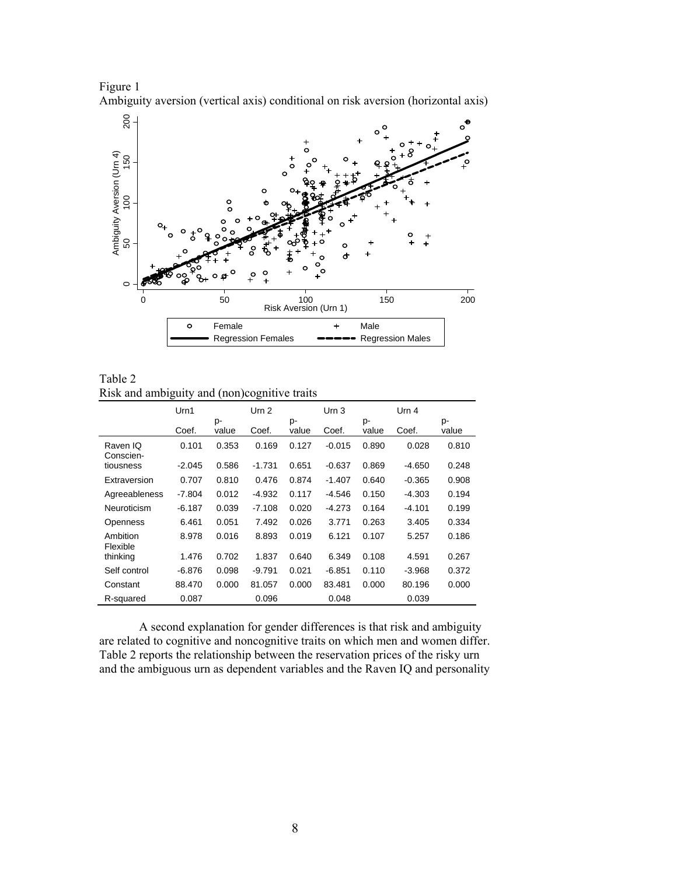



Table 2 Risk and ambiguity and (non)cognitive traits

|                       | Urn1     |             | Urn 2    |             | Urn <sub>3</sub> |             | Urn 4    |             |
|-----------------------|----------|-------------|----------|-------------|------------------|-------------|----------|-------------|
|                       | Coef.    | p-<br>value | Coef.    | p-<br>value | Coef.            | p-<br>value | Coef.    | p-<br>value |
| Raven IQ<br>Conscien- | 0.101    | 0.353       | 0.169    | 0.127       | $-0.015$         | 0.890       | 0.028    | 0.810       |
| tiousness             | $-2.045$ | 0.586       | $-1.731$ | 0.651       | $-0.637$         | 0.869       | $-4.650$ | 0.248       |
| Extraversion          | 0.707    | 0.810       | 0.476    | 0.874       | $-1.407$         | 0.640       | $-0.365$ | 0.908       |
| Agreeableness         | $-7.804$ | 0.012       | -4.932   | 0.117       | -4.546           | 0.150       | $-4.303$ | 0.194       |
| Neuroticism           | $-6.187$ | 0.039       | $-7.108$ | 0.020       | $-4.273$         | 0.164       | $-4.101$ | 0.199       |
| Openness              | 6.461    | 0.051       | 7.492    | 0.026       | 3.771            | 0.263       | 3.405    | 0.334       |
| Ambition<br>Flexible  | 8.978    | 0.016       | 8.893    | 0.019       | 6.121            | 0.107       | 5.257    | 0.186       |
| thinking              | 1.476    | 0.702       | 1.837    | 0.640       | 6.349            | 0.108       | 4.591    | 0.267       |
| Self control          | $-6.876$ | 0.098       | $-9.791$ | 0.021       | $-6.851$         | 0.110       | $-3.968$ | 0.372       |
| Constant              | 88.470   | 0.000       | 81.057   | 0.000       | 83.481           | 0.000       | 80.196   | 0.000       |
| R-squared             | 0.087    |             | 0.096    |             | 0.048            |             | 0.039    |             |

A second explanation for gender differences is that risk and ambiguity are related to cognitive and noncognitive traits on which men and women differ. Table 2 reports the relationship between the reservation prices of the risky urn and the ambiguous urn as dependent variables and the Raven IQ and personality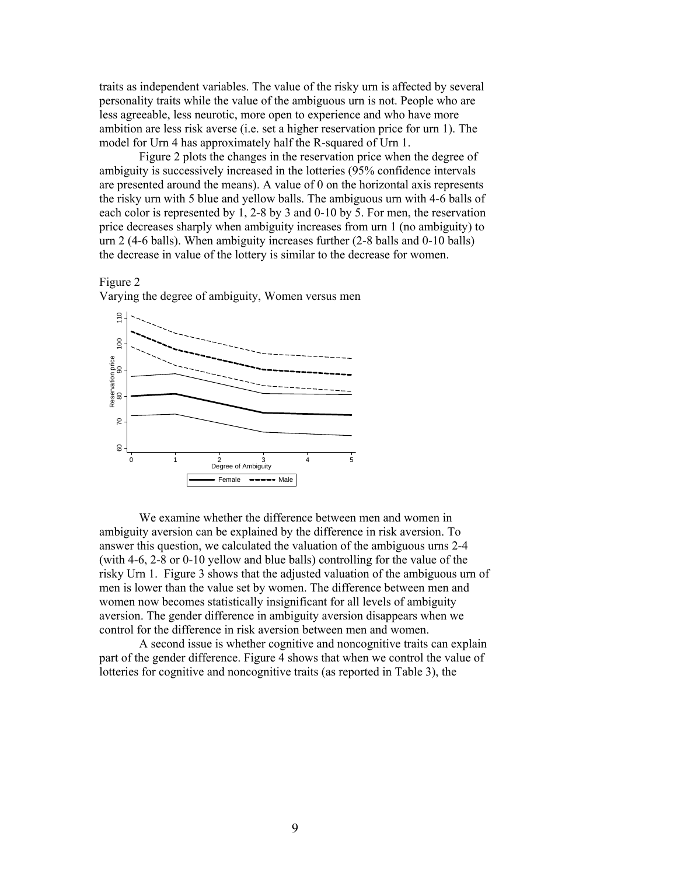traits as independent variables. The value of the risky urn is affected by several personality traits while the value of the ambiguous urn is not. People who are less agreeable, less neurotic, more open to experience and who have more ambition are less risk averse (i.e. set a higher reservation price for urn 1). The model for Urn 4 has approximately half the R-squared of Urn 1.

Figure 2 plots the changes in the reservation price when the degree of ambiguity is successively increased in the lotteries (95% confidence intervals are presented around the means). A value of 0 on the horizontal axis represents the risky urn with 5 blue and yellow balls. The ambiguous urn with 4-6 balls of each color is represented by 1, 2-8 by 3 and 0-10 by 5. For men, the reservation price decreases sharply when ambiguity increases from urn 1 (no ambiguity) to urn 2 (4-6 balls). When ambiguity increases further (2-8 balls and 0-10 balls) the decrease in value of the lottery is similar to the decrease for women.

### Figure 2





We examine whether the difference between men and women in ambiguity aversion can be explained by the difference in risk aversion. To answer this question, we calculated the valuation of the ambiguous urns 2-4 (with 4-6, 2-8 or 0-10 yellow and blue balls) controlling for the value of the risky Urn 1. Figure 3 shows that the adjusted valuation of the ambiguous urn of men is lower than the value set by women. The difference between men and women now becomes statistically insignificant for all levels of ambiguity aversion. The gender difference in ambiguity aversion disappears when we control for the difference in risk aversion between men and women.

A second issue is whether cognitive and noncognitive traits can explain part of the gender difference. Figure 4 shows that when we control the value of lotteries for cognitive and noncognitive traits (as reported in Table 3), the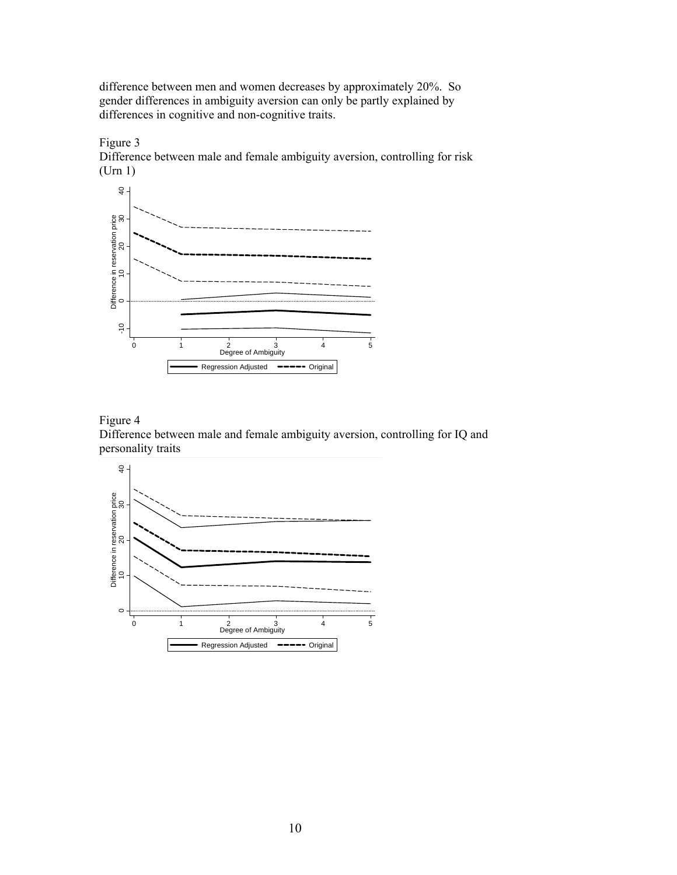difference between men and women decreases by approximately 20%. So gender differences in ambiguity aversion can only be partly explained by differences in cognitive and non-cognitive traits.



Figure 3 Difference between male and female ambiguity aversion, controlling for risk (Urn 1)

# Figure 4

Difference between male and female ambiguity aversion, controlling for IQ and personality traits

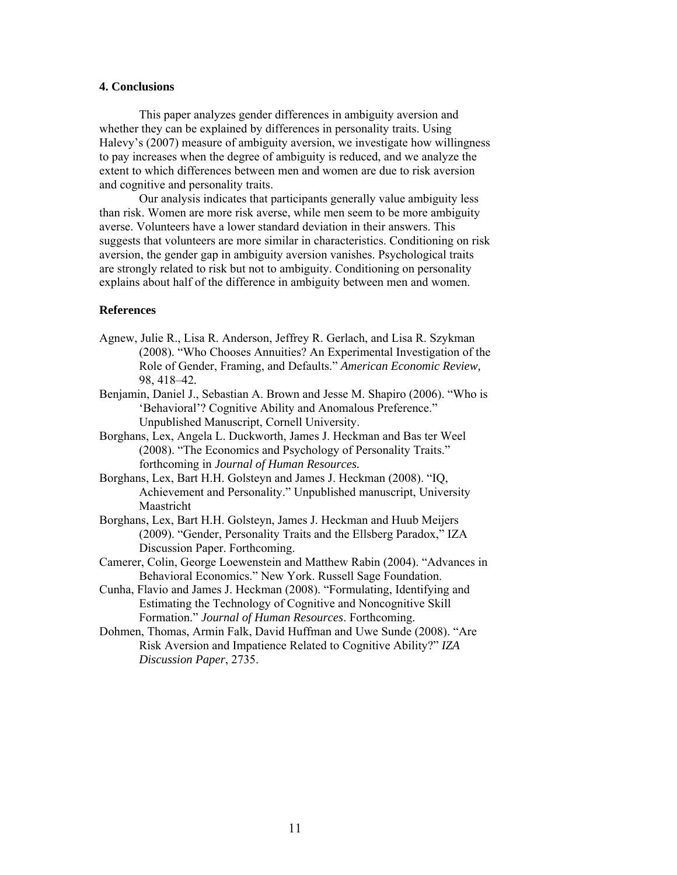### **4. Conclusions**

This paper analyzes gender differences in ambiguity aversion and whether they can be explained by differences in personality traits. Using Halevy's (2007) measure of ambiguity aversion, we investigate how willingness to pay increases when the degree of ambiguity is reduced, and we analyze the extent to which differences between men and women are due to risk aversion and cognitive and personality traits.

Our analysis indicates that participants generally value ambiguity less than risk. Women are more risk averse, while men seem to be more ambiguity averse. Volunteers have a lower standard deviation in their answers. This suggests that volunteers are more similar in characteristics. Conditioning on risk aversion, the gender gap in ambiguity aversion vanishes. Psychological traits are strongly related to risk but not to ambiguity. Conditioning on personality explains about half of the difference in ambiguity between men and women.

## **References**

- Agnew, Julie R., Lisa R. Anderson, Jeffrey R. Gerlach, and Lisa R. Szykman (2008). "Who Chooses Annuities? An Experimental Investigation of the Role of Gender, Framing, and Defaults." *American Economic Review,*  98, 418–42*.*
- Benjamin, Daniel J., Sebastian A. Brown and Jesse M. Shapiro (2006). "Who is 'Behavioral'? Cognitive Ability and Anomalous Preference." Unpublished Manuscript, Cornell University.
- Borghans, Lex, Angela L. Duckworth, James J. Heckman and Bas ter Weel (2008). "The Economics and Psychology of Personality Traits." forthcoming in *Journal of Human Resources.*
- Borghans, Lex, Bart H.H. Golsteyn and James J. Heckman (2008). "IQ, Achievement and Personality." Unpublished manuscript, University Maastricht
- Borghans, Lex, Bart H.H. Golsteyn, James J. Heckman and Huub Meijers (2009). "Gender, Personality Traits and the Ellsberg Paradox," IZA Discussion Paper. Forthcoming.
- Camerer, Colin, George Loewenstein and Matthew Rabin (2004). "Advances in Behavioral Economics." New York. Russell Sage Foundation.
- Cunha, Flavio and James J. Heckman (2008). "Formulating, Identifying and Estimating the Technology of Cognitive and Noncognitive Skill Formation." *Journal of Human Resources*. Forthcoming.
- Dohmen, Thomas, Armin Falk, David Huffman and Uwe Sunde (2008). "Are Risk Aversion and Impatience Related to Cognitive Ability?" *IZA Discussion Paper*, 2735.